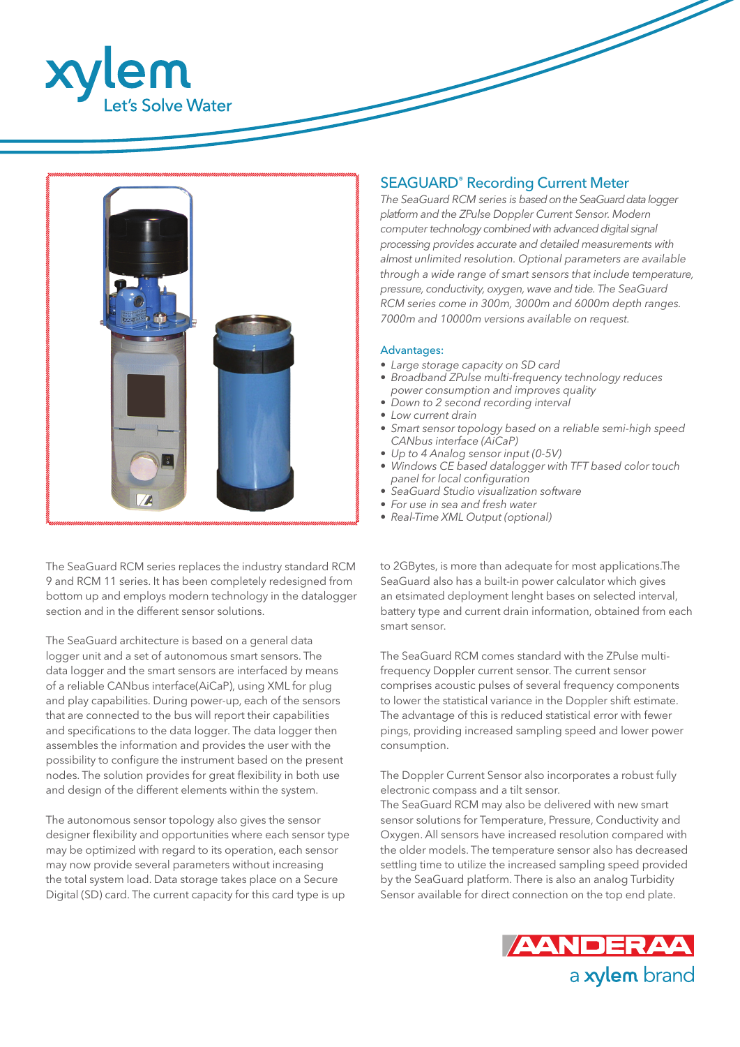



The SeaGuard RCM series replaces the industry standard RCM 9 and RCM 11 series. It has been completely redesigned from bottom up and employs modern technology in the datalogger section and in the different sensor solutions.

The SeaGuard architecture is based on a general data logger unit and a set of autonomous smart sensors. The data logger and the smart sensors are interfaced by means of a reliable CANbus interface(AiCaP), using XML for plug and play capabilities. During power-up, each of the sensors that are connected to the bus will report their capabilities and specifications to the data logger. The data logger then assembles the information and provides the user with the possibility to configure the instrument based on the present nodes. The solution provides for great flexibility in both use and design of the different elements within the system.

The autonomous sensor topology also gives the sensor designer flexibility and opportunities where each sensor type may be optimized with regard to its operation, each sensor may now provide several parameters without increasing the total system load. Data storage takes place on a Secure Digital (SD) card. The current capacity for this card type is up

# SEAGUARD® Recording Current Meter

*The SeaGuard RCM series is based on the SeaGuard data logger platform and the ZPulse Doppler Current Sensor. Modern computer technology combined with advanced digital signal processing provides accurate and detailed measurements with almost unlimited resolution. Optional parameters are available through a wide range of smart sensors that include temperature, pressure, conductivity, oxygen, wave and tide. The SeaGuard RCM series come in 300m, 3000m and 6000m depth ranges. 7000m and 10000m versions available on request.*

# Advantages:

- *• Large storage capacity on SD card*
- *• Broadband ZPulse multi-frequency technology reduces power consumption and improves quality*
- *• Down to 2 second recording interval*
- *• Low current drain*
- *• Smart sensor topology based on a reliable semi-high speed CANbus interface (AiCaP)*
- *• Up to 4 Analog sensor input (0-5V)*
- *• Windows CE based datalogger with TFT based color touch panel for local configuration*
- *• SeaGuard Studio visualization software*
- *• For use in sea and fresh water*
- *• Real-Time XML Output (optional)*

to 2GBytes, is more than adequate for most applications.The SeaGuard also has a built-in power calculator which gives an etsimated deployment lenght bases on selected interval, battery type and current drain information, obtained from each smart sensor.

The SeaGuard RCM comes standard with the ZPulse multifrequency Doppler current sensor. The current sensor comprises acoustic pulses of several frequency components to lower the statistical variance in the Doppler shift estimate. The advantage of this is reduced statistical error with fewer pings, providing increased sampling speed and lower power consumption.

The Doppler Current Sensor also incorporates a robust fully electronic compass and a tilt sensor.

The SeaGuard RCM may also be delivered with new smart sensor solutions for Temperature, Pressure, Conductivity and Oxygen. All sensors have increased resolution compared with the older models. The temperature sensor also has decreased settling time to utilize the increased sampling speed provided by the SeaGuard platform. There is also an analog Turbidity Sensor available for direct connection on the top end plate.